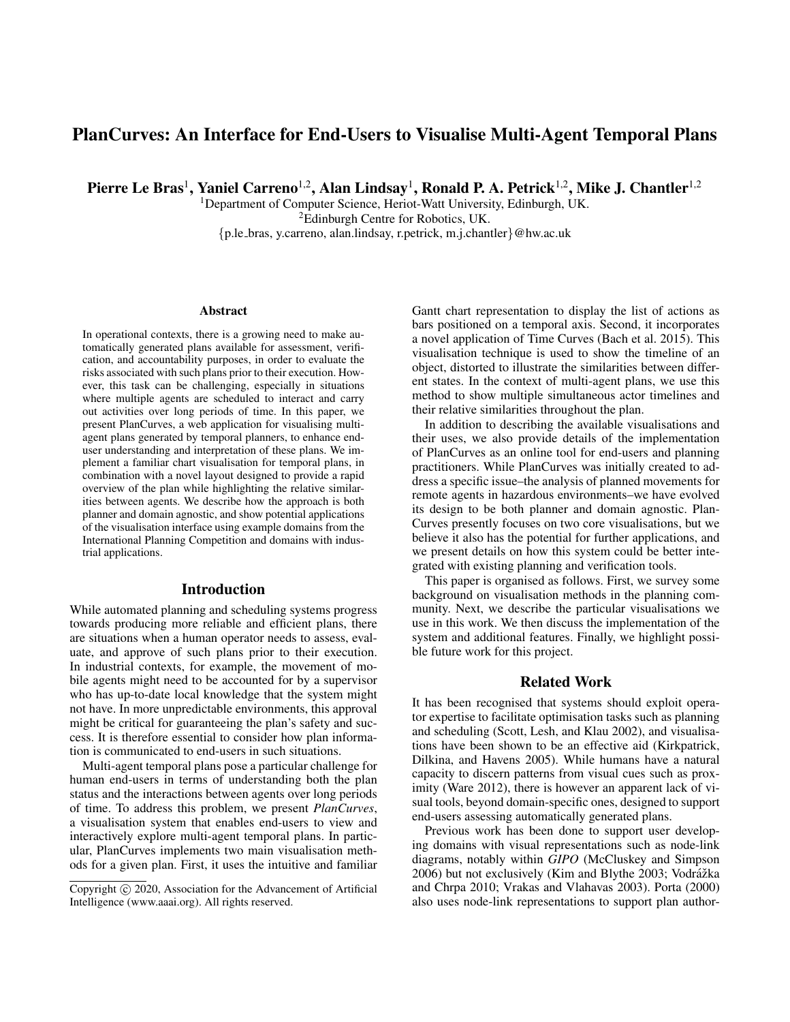# PlanCurves: An Interface for End-Users to Visualise Multi-Agent Temporal Plans

Pierre Le Bras<sup>1</sup>, Yaniel Carreno<sup>1,2</sup>, Alan Lindsay<sup>1</sup>, Ronald P. A. Petrick<sup>1,2</sup>, Mike J. Chantler<sup>1,2</sup>

<sup>1</sup>Department of Computer Science, Heriot-Watt University, Edinburgh, UK. <sup>2</sup>Edinburgh Centre for Robotics, UK. {p.le bras, y.carreno, alan.lindsay, r.petrick, m.j.chantler}@hw.ac.uk

#### **Abstract**

In operational contexts, there is a growing need to make automatically generated plans available for assessment, verification, and accountability purposes, in order to evaluate the risks associated with such plans prior to their execution. However, this task can be challenging, especially in situations where multiple agents are scheduled to interact and carry out activities over long periods of time. In this paper, we present PlanCurves, a web application for visualising multiagent plans generated by temporal planners, to enhance enduser understanding and interpretation of these plans. We implement a familiar chart visualisation for temporal plans, in combination with a novel layout designed to provide a rapid overview of the plan while highlighting the relative similarities between agents. We describe how the approach is both planner and domain agnostic, and show potential applications of the visualisation interface using example domains from the International Planning Competition and domains with industrial applications.

### Introduction

While automated planning and scheduling systems progress towards producing more reliable and efficient plans, there are situations when a human operator needs to assess, evaluate, and approve of such plans prior to their execution. In industrial contexts, for example, the movement of mobile agents might need to be accounted for by a supervisor who has up-to-date local knowledge that the system might not have. In more unpredictable environments, this approval might be critical for guaranteeing the plan's safety and success. It is therefore essential to consider how plan information is communicated to end-users in such situations.

Multi-agent temporal plans pose a particular challenge for human end-users in terms of understanding both the plan status and the interactions between agents over long periods of time. To address this problem, we present *PlanCurves*, a visualisation system that enables end-users to view and interactively explore multi-agent temporal plans. In particular, PlanCurves implements two main visualisation methods for a given plan. First, it uses the intuitive and familiar

Gantt chart representation to display the list of actions as bars positioned on a temporal axis. Second, it incorporates a novel application of Time Curves (Bach et al. 2015). This visualisation technique is used to show the timeline of an object, distorted to illustrate the similarities between different states. In the context of multi-agent plans, we use this method to show multiple simultaneous actor timelines and their relative similarities throughout the plan.

In addition to describing the available visualisations and their uses, we also provide details of the implementation of PlanCurves as an online tool for end-users and planning practitioners. While PlanCurves was initially created to address a specific issue–the analysis of planned movements for remote agents in hazardous environments–we have evolved its design to be both planner and domain agnostic. Plan-Curves presently focuses on two core visualisations, but we believe it also has the potential for further applications, and we present details on how this system could be better integrated with existing planning and verification tools.

This paper is organised as follows. First, we survey some background on visualisation methods in the planning community. Next, we describe the particular visualisations we use in this work. We then discuss the implementation of the system and additional features. Finally, we highlight possible future work for this project.

# Related Work

It has been recognised that systems should exploit operator expertise to facilitate optimisation tasks such as planning and scheduling (Scott, Lesh, and Klau 2002), and visualisations have been shown to be an effective aid (Kirkpatrick, Dilkina, and Havens 2005). While humans have a natural capacity to discern patterns from visual cues such as proximity (Ware 2012), there is however an apparent lack of visual tools, beyond domain-specific ones, designed to support end-users assessing automatically generated plans.

Previous work has been done to support user developing domains with visual representations such as node-link diagrams, notably within *GIPO* (McCluskey and Simpson 2006) but not exclusively (Kim and Blythe 2003; Vodrážka and Chrpa 2010; Vrakas and Vlahavas 2003). Porta (2000) also uses node-link representations to support plan author-

Copyright (c) 2020, Association for the Advancement of Artificial Intelligence (www.aaai.org). All rights reserved.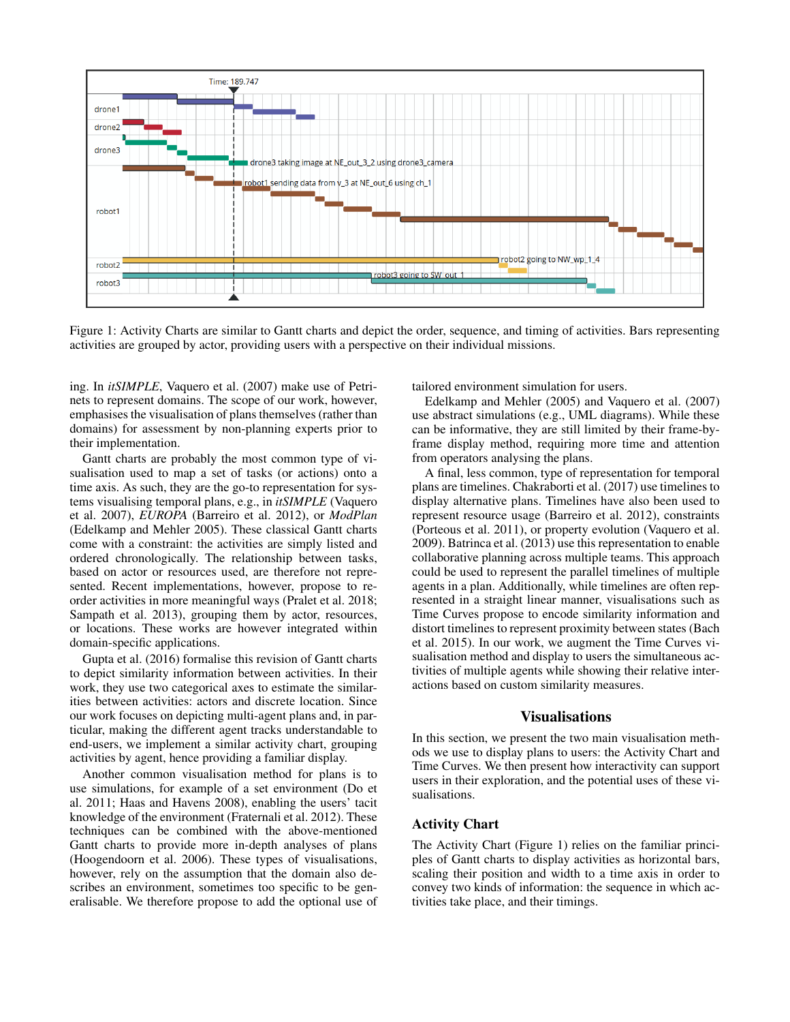

Figure 1: Activity Charts are similar to Gantt charts and depict the order, sequence, and timing of activities. Bars representing activities are grouped by actor, providing users with a perspective on their individual missions.

ing. In *itSIMPLE*, Vaquero et al. (2007) make use of Petrinets to represent domains. The scope of our work, however, emphasises the visualisation of plans themselves (rather than domains) for assessment by non-planning experts prior to their implementation.

Gantt charts are probably the most common type of visualisation used to map a set of tasks (or actions) onto a time axis. As such, they are the go-to representation for systems visualising temporal plans, e.g., in *itSIMPLE* (Vaquero et al. 2007), *EUROPA* (Barreiro et al. 2012), or *ModPlan* (Edelkamp and Mehler 2005). These classical Gantt charts come with a constraint: the activities are simply listed and ordered chronologically. The relationship between tasks, based on actor or resources used, are therefore not represented. Recent implementations, however, propose to reorder activities in more meaningful ways (Pralet et al. 2018; Sampath et al. 2013), grouping them by actor, resources, or locations. These works are however integrated within domain-specific applications.

Gupta et al. (2016) formalise this revision of Gantt charts to depict similarity information between activities. In their work, they use two categorical axes to estimate the similarities between activities: actors and discrete location. Since our work focuses on depicting multi-agent plans and, in particular, making the different agent tracks understandable to end-users, we implement a similar activity chart, grouping activities by agent, hence providing a familiar display.

Another common visualisation method for plans is to use simulations, for example of a set environment (Do et al. 2011; Haas and Havens 2008), enabling the users' tacit knowledge of the environment (Fraternali et al. 2012). These techniques can be combined with the above-mentioned Gantt charts to provide more in-depth analyses of plans (Hoogendoorn et al. 2006). These types of visualisations, however, rely on the assumption that the domain also describes an environment, sometimes too specific to be generalisable. We therefore propose to add the optional use of tailored environment simulation for users.

Edelkamp and Mehler (2005) and Vaquero et al. (2007) use abstract simulations (e.g., UML diagrams). While these can be informative, they are still limited by their frame-byframe display method, requiring more time and attention from operators analysing the plans.

A final, less common, type of representation for temporal plans are timelines. Chakraborti et al. (2017) use timelines to display alternative plans. Timelines have also been used to represent resource usage (Barreiro et al. 2012), constraints (Porteous et al. 2011), or property evolution (Vaquero et al. 2009). Batrinca et al. (2013) use this representation to enable collaborative planning across multiple teams. This approach could be used to represent the parallel timelines of multiple agents in a plan. Additionally, while timelines are often represented in a straight linear manner, visualisations such as Time Curves propose to encode similarity information and distort timelines to represent proximity between states (Bach et al. 2015). In our work, we augment the Time Curves visualisation method and display to users the simultaneous activities of multiple agents while showing their relative interactions based on custom similarity measures.

# Visualisations

In this section, we present the two main visualisation methods we use to display plans to users: the Activity Chart and Time Curves. We then present how interactivity can support users in their exploration, and the potential uses of these visualisations.

### Activity Chart

The Activity Chart (Figure 1) relies on the familiar principles of Gantt charts to display activities as horizontal bars, scaling their position and width to a time axis in order to convey two kinds of information: the sequence in which activities take place, and their timings.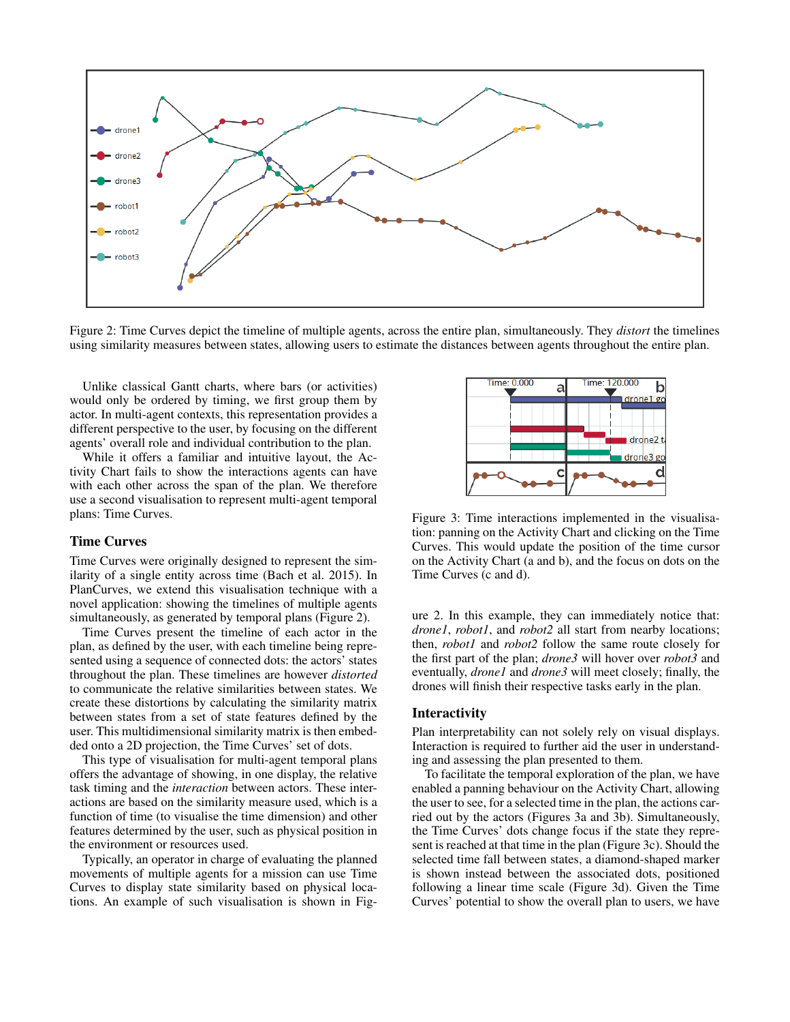

Figure 2: Time Curves depict the timeline of multiple agents, across the entire plan, simultaneously. They *distort* the timelines using similarity measures between states, allowing users to estimate the distances between agents throughout the entire plan.

Unlike classical Gantt charts, where bars (or activities) would only be ordered by timing, we first group them by actor. In multi-agent contexts, this representation provides a different perspective to the user, by focusing on the different agents' overall role and individual contribution to the plan.

While it offers a familiar and intuitive layout, the Activity Chart fails to show the interactions agents can have with each other across the span of the plan. We therefore use a second visualisation to represent multi-agent temporal plans: Time Curves.

#### Time Curves

Time Curves were originally designed to represent the similarity of a single entity across time (Bach et al. 2015). In PlanCurves, we extend this visualisation technique with a novel application: showing the timelines of multiple agents simultaneously, as generated by temporal plans (Figure 2).

Time Curves present the timeline of each actor in the plan, as defined by the user, with each timeline being represented using a sequence of connected dots: the actors' states throughout the plan. These timelines are however *distorted* to communicate the relative similarities between states. We create these distortions by calculating the similarity matrix between states from a set of state features defined by the user. This multidimensional similarity matrix is then embedded onto a 2D projection, the Time Curves' set of dots.

This type of visualisation for multi-agent temporal plans offers the advantage of showing, in one display, the relative task timing and the *interaction* between actors. These interactions are based on the similarity measure used, which is a function of time (to visualise the time dimension) and other features determined by the user, such as physical position in the environment or resources used.

Typically, an operator in charge of evaluating the planned movements of multiple agents for a mission can use Time Curves to display state similarity based on physical locations. An example of such visualisation is shown in Fig-



Figure 3: Time interactions implemented in the visualisation: panning on the Activity Chart and clicking on the Time Curves. This would update the position of the time cursor on the Activity Chart (a and b), and the focus on dots on the Time Curves (c and d).

ure 2. In this example, they can immediately notice that: *drone1*, *robot1*, and *robot2* all start from nearby locations; then, *robot1* and *robot2* follow the same route closely for the first part of the plan; *drone3* will hover over *robot3* and eventually, *drone1* and *drone3* will meet closely; finally, the drones will finish their respective tasks early in the plan.

#### Interactivity

Plan interpretability can not solely rely on visual displays. Interaction is required to further aid the user in understanding and assessing the plan presented to them.

To facilitate the temporal exploration of the plan, we have enabled a panning behaviour on the Activity Chart, allowing the user to see, for a selected time in the plan, the actions carried out by the actors (Figures 3a and 3b). Simultaneously, the Time Curves' dots change focus if the state they represent is reached at that time in the plan (Figure 3c). Should the selected time fall between states, a diamond-shaped marker is shown instead between the associated dots, positioned following a linear time scale (Figure 3d). Given the Time Curves' potential to show the overall plan to users, we have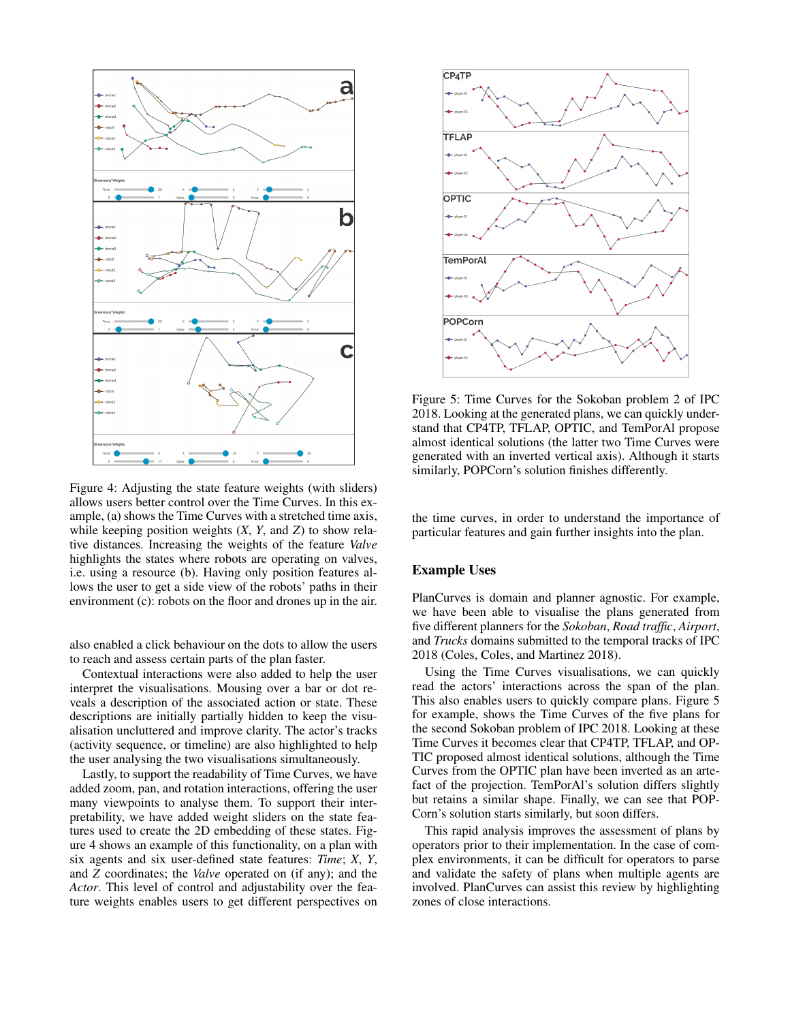

Figure 4: Adjusting the state feature weights (with sliders) allows users better control over the Time Curves. In this example, (a) shows the Time Curves with a stretched time axis, while keeping position weights (*X*, *Y*, and *Z*) to show relative distances. Increasing the weights of the feature *Valve* highlights the states where robots are operating on valves, i.e. using a resource (b). Having only position features allows the user to get a side view of the robots' paths in their environment (c): robots on the floor and drones up in the air.

also enabled a click behaviour on the dots to allow the users to reach and assess certain parts of the plan faster.

Contextual interactions were also added to help the user interpret the visualisations. Mousing over a bar or dot reveals a description of the associated action or state. These descriptions are initially partially hidden to keep the visualisation uncluttered and improve clarity. The actor's tracks (activity sequence, or timeline) are also highlighted to help the user analysing the two visualisations simultaneously.

Lastly, to support the readability of Time Curves, we have added zoom, pan, and rotation interactions, offering the user many viewpoints to analyse them. To support their interpretability, we have added weight sliders on the state features used to create the 2D embedding of these states. Figure 4 shows an example of this functionality, on a plan with six agents and six user-defined state features: *Time*; *X*, *Y*, and *Z* coordinates; the *Valve* operated on (if any); and the *Actor*. This level of control and adjustability over the feature weights enables users to get different perspectives on



Figure 5: Time Curves for the Sokoban problem 2 of IPC 2018. Looking at the generated plans, we can quickly understand that CP4TP, TFLAP, OPTIC, and TemPorAl propose almost identical solutions (the latter two Time Curves were generated with an inverted vertical axis). Although it starts similarly, POPCorn's solution finishes differently.

the time curves, in order to understand the importance of particular features and gain further insights into the plan.

#### Example Uses

PlanCurves is domain and planner agnostic. For example, we have been able to visualise the plans generated from five different planners for the *Sokoban*, *Road traffic*, *Airport*, and *Trucks* domains submitted to the temporal tracks of IPC 2018 (Coles, Coles, and Martinez 2018).

Using the Time Curves visualisations, we can quickly read the actors' interactions across the span of the plan. This also enables users to quickly compare plans. Figure 5 for example, shows the Time Curves of the five plans for the second Sokoban problem of IPC 2018. Looking at these Time Curves it becomes clear that CP4TP, TFLAP, and OP-TIC proposed almost identical solutions, although the Time Curves from the OPTIC plan have been inverted as an artefact of the projection. TemPorAl's solution differs slightly but retains a similar shape. Finally, we can see that POP-Corn's solution starts similarly, but soon differs.

This rapid analysis improves the assessment of plans by operators prior to their implementation. In the case of complex environments, it can be difficult for operators to parse and validate the safety of plans when multiple agents are involved. PlanCurves can assist this review by highlighting zones of close interactions.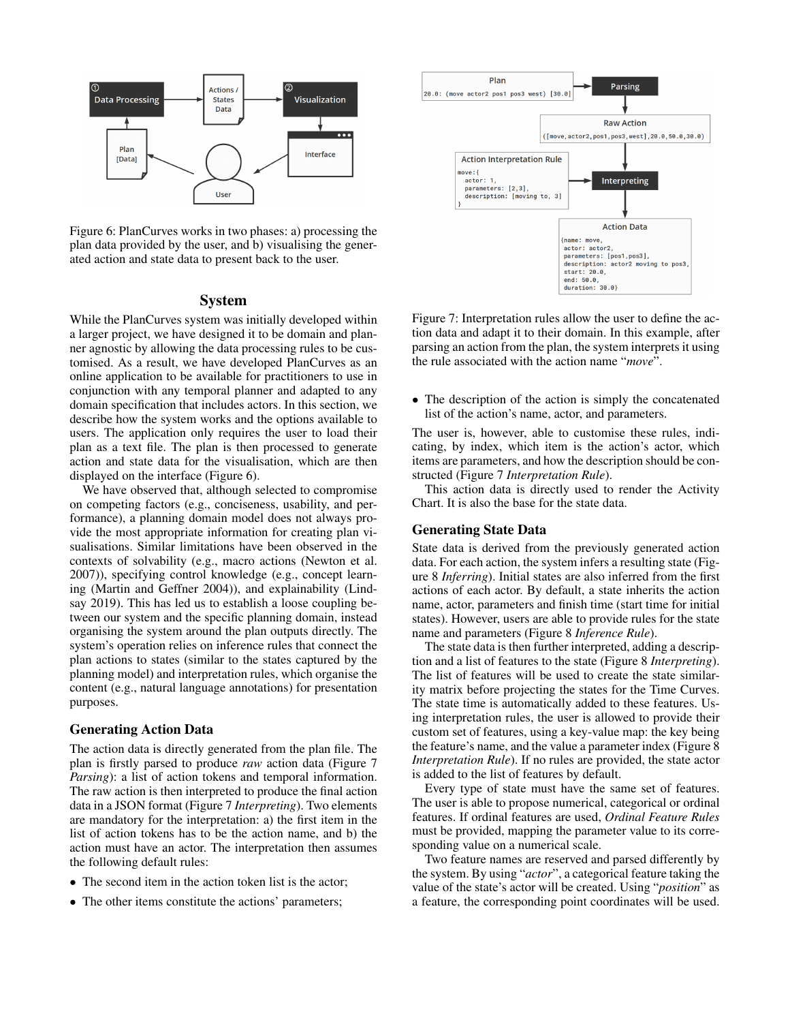

Figure 6: PlanCurves works in two phases: a) processing the plan data provided by the user, and b) visualising the generated action and state data to present back to the user.

### System

While the PlanCurves system was initially developed within a larger project, we have designed it to be domain and planner agnostic by allowing the data processing rules to be customised. As a result, we have developed PlanCurves as an online application to be available for practitioners to use in conjunction with any temporal planner and adapted to any domain specification that includes actors. In this section, we describe how the system works and the options available to users. The application only requires the user to load their plan as a text file. The plan is then processed to generate action and state data for the visualisation, which are then displayed on the interface (Figure 6).

We have observed that, although selected to compromise on competing factors (e.g., conciseness, usability, and performance), a planning domain model does not always provide the most appropriate information for creating plan visualisations. Similar limitations have been observed in the contexts of solvability (e.g., macro actions (Newton et al. 2007)), specifying control knowledge (e.g., concept learning (Martin and Geffner 2004)), and explainability (Lindsay 2019). This has led us to establish a loose coupling between our system and the specific planning domain, instead organising the system around the plan outputs directly. The system's operation relies on inference rules that connect the plan actions to states (similar to the states captured by the planning model) and interpretation rules, which organise the content (e.g., natural language annotations) for presentation purposes.

# Generating Action Data

The action data is directly generated from the plan file. The plan is firstly parsed to produce *raw* action data (Figure 7 *Parsing*): a list of action tokens and temporal information. The raw action is then interpreted to produce the final action data in a JSON format (Figure 7 *Interpreting*). Two elements are mandatory for the interpretation: a) the first item in the list of action tokens has to be the action name, and b) the action must have an actor. The interpretation then assumes the following default rules:

- The second item in the action token list is the actor;
- The other items constitute the actions' parameters;



Figure 7: Interpretation rules allow the user to define the action data and adapt it to their domain. In this example, after parsing an action from the plan, the system interprets it using the rule associated with the action name "*move*".

• The description of the action is simply the concatenated list of the action's name, actor, and parameters.

The user is, however, able to customise these rules, indicating, by index, which item is the action's actor, which items are parameters, and how the description should be constructed (Figure 7 *Interpretation Rule*).

This action data is directly used to render the Activity Chart. It is also the base for the state data.

### Generating State Data

State data is derived from the previously generated action data. For each action, the system infers a resulting state (Figure 8 *Inferring*). Initial states are also inferred from the first actions of each actor. By default, a state inherits the action name, actor, parameters and finish time (start time for initial states). However, users are able to provide rules for the state name and parameters (Figure 8 *Inference Rule*).

The state data is then further interpreted, adding a description and a list of features to the state (Figure 8 *Interpreting*). The list of features will be used to create the state similarity matrix before projecting the states for the Time Curves. The state time is automatically added to these features. Using interpretation rules, the user is allowed to provide their custom set of features, using a key-value map: the key being the feature's name, and the value a parameter index (Figure 8 *Interpretation Rule*). If no rules are provided, the state actor is added to the list of features by default.

Every type of state must have the same set of features. The user is able to propose numerical, categorical or ordinal features. If ordinal features are used, *Ordinal Feature Rules* must be provided, mapping the parameter value to its corresponding value on a numerical scale.

Two feature names are reserved and parsed differently by the system. By using "*actor*", a categorical feature taking the value of the state's actor will be created. Using "*position*" as a feature, the corresponding point coordinates will be used.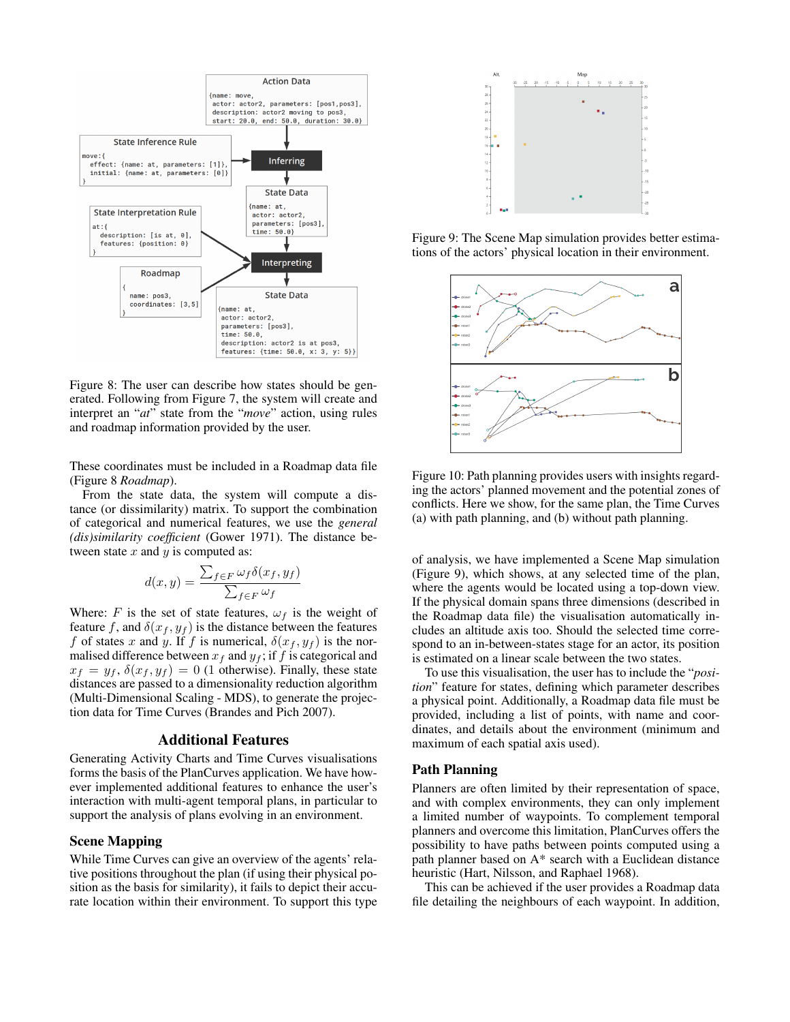

Figure 8: The user can describe how states should be generated. Following from Figure 7, the system will create and interpret an "*at*" state from the "*move*" action, using rules and roadmap information provided by the user.

These coordinates must be included in a Roadmap data file (Figure 8 *Roadmap*).

From the state data, the system will compute a distance (or dissimilarity) matrix. To support the combination of categorical and numerical features, we use the *general (dis)similarity coefficient* (Gower 1971). The distance between state  $x$  and  $y$  is computed as:

$$
d(x,y) = \frac{\sum_{f \in F} \omega_f \delta(x_f, y_f)}{\sum_{f \in F} \omega_f}
$$

Where: F is the set of state features,  $\omega_f$  is the weight of feature f, and  $\delta(x_f, y_f)$  is the distance between the features f of states x and y. If f is numerical,  $\delta(x_f, y_f)$  is the normalised difference between  $x_f$  and  $y_f$ ; if f is categorical and  $x_f = y_f$ ,  $\delta(x_f, y_f) = 0$  (1 otherwise). Finally, these state distances are passed to a dimensionality reduction algorithm (Multi-Dimensional Scaling - MDS), to generate the projection data for Time Curves (Brandes and Pich 2007).

### Additional Features

Generating Activity Charts and Time Curves visualisations forms the basis of the PlanCurves application. We have however implemented additional features to enhance the user's interaction with multi-agent temporal plans, in particular to support the analysis of plans evolving in an environment.

#### Scene Mapping

While Time Curves can give an overview of the agents' relative positions throughout the plan (if using their physical position as the basis for similarity), it fails to depict their accurate location within their environment. To support this type



Figure 9: The Scene Map simulation provides better estimations of the actors' physical location in their environment.



Figure 10: Path planning provides users with insights regarding the actors' planned movement and the potential zones of conflicts. Here we show, for the same plan, the Time Curves (a) with path planning, and (b) without path planning.

of analysis, we have implemented a Scene Map simulation (Figure 9), which shows, at any selected time of the plan, where the agents would be located using a top-down view. If the physical domain spans three dimensions (described in the Roadmap data file) the visualisation automatically includes an altitude axis too. Should the selected time correspond to an in-between-states stage for an actor, its position is estimated on a linear scale between the two states.

To use this visualisation, the user has to include the "*position*" feature for states, defining which parameter describes a physical point. Additionally, a Roadmap data file must be provided, including a list of points, with name and coordinates, and details about the environment (minimum and maximum of each spatial axis used).

### Path Planning

Planners are often limited by their representation of space, and with complex environments, they can only implement a limited number of waypoints. To complement temporal planners and overcome this limitation, PlanCurves offers the possibility to have paths between points computed using a path planner based on A\* search with a Euclidean distance heuristic (Hart, Nilsson, and Raphael 1968).

This can be achieved if the user provides a Roadmap data file detailing the neighbours of each waypoint. In addition,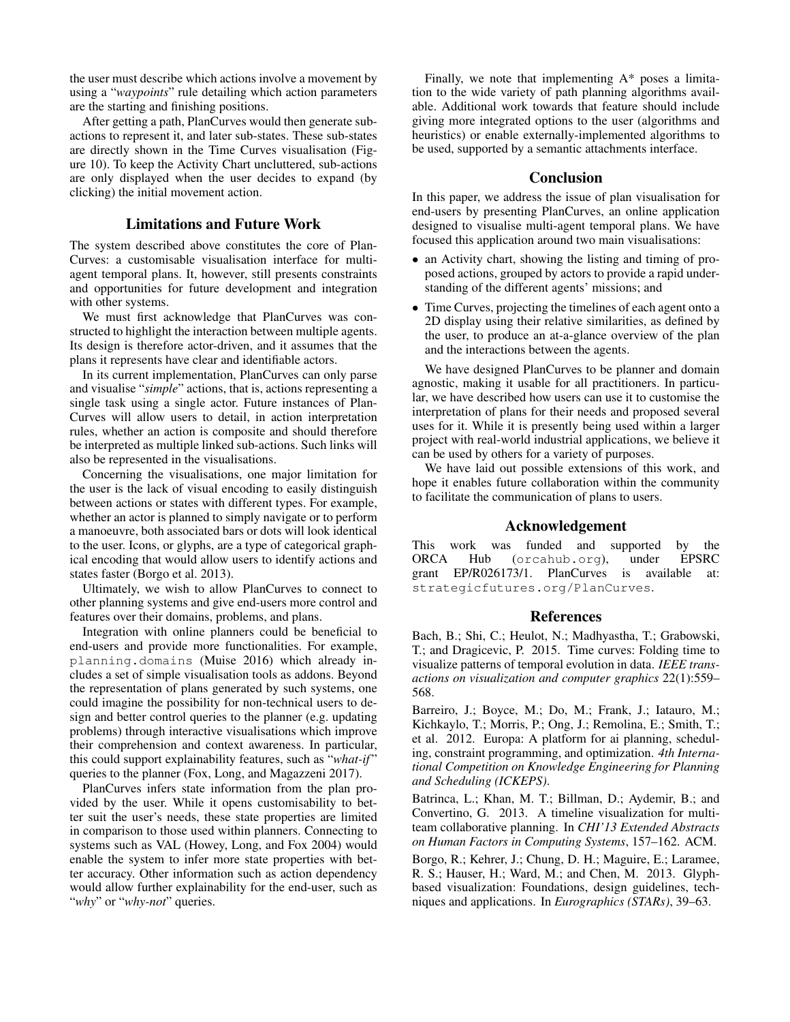the user must describe which actions involve a movement by using a "*waypoints*" rule detailing which action parameters are the starting and finishing positions.

After getting a path, PlanCurves would then generate subactions to represent it, and later sub-states. These sub-states are directly shown in the Time Curves visualisation (Figure 10). To keep the Activity Chart uncluttered, sub-actions are only displayed when the user decides to expand (by clicking) the initial movement action.

### Limitations and Future Work

The system described above constitutes the core of Plan-Curves: a customisable visualisation interface for multiagent temporal plans. It, however, still presents constraints and opportunities for future development and integration with other systems.

We must first acknowledge that PlanCurves was constructed to highlight the interaction between multiple agents. Its design is therefore actor-driven, and it assumes that the plans it represents have clear and identifiable actors.

In its current implementation, PlanCurves can only parse and visualise "*simple*" actions, that is, actions representing a single task using a single actor. Future instances of Plan-Curves will allow users to detail, in action interpretation rules, whether an action is composite and should therefore be interpreted as multiple linked sub-actions. Such links will also be represented in the visualisations.

Concerning the visualisations, one major limitation for the user is the lack of visual encoding to easily distinguish between actions or states with different types. For example, whether an actor is planned to simply navigate or to perform a manoeuvre, both associated bars or dots will look identical to the user. Icons, or glyphs, are a type of categorical graphical encoding that would allow users to identify actions and states faster (Borgo et al. 2013).

Ultimately, we wish to allow PlanCurves to connect to other planning systems and give end-users more control and features over their domains, problems, and plans.

Integration with online planners could be beneficial to end-users and provide more functionalities. For example, planning.domains (Muise 2016) which already includes a set of simple visualisation tools as addons. Beyond the representation of plans generated by such systems, one could imagine the possibility for non-technical users to design and better control queries to the planner (e.g. updating problems) through interactive visualisations which improve their comprehension and context awareness. In particular, this could support explainability features, such as "*what-if* " queries to the planner (Fox, Long, and Magazzeni 2017).

PlanCurves infers state information from the plan provided by the user. While it opens customisability to better suit the user's needs, these state properties are limited in comparison to those used within planners. Connecting to systems such as VAL (Howey, Long, and Fox 2004) would enable the system to infer more state properties with better accuracy. Other information such as action dependency would allow further explainability for the end-user, such as "why" or "why-not" queries.

Finally, we note that implementing A\* poses a limitation to the wide variety of path planning algorithms available. Additional work towards that feature should include giving more integrated options to the user (algorithms and heuristics) or enable externally-implemented algorithms to be used, supported by a semantic attachments interface.

# **Conclusion**

In this paper, we address the issue of plan visualisation for end-users by presenting PlanCurves, an online application designed to visualise multi-agent temporal plans. We have focused this application around two main visualisations:

- an Activity chart, showing the listing and timing of proposed actions, grouped by actors to provide a rapid understanding of the different agents' missions; and
- Time Curves, projecting the timelines of each agent onto a 2D display using their relative similarities, as defined by the user, to produce an at-a-glance overview of the plan and the interactions between the agents.

We have designed PlanCurves to be planner and domain agnostic, making it usable for all practitioners. In particular, we have described how users can use it to customise the interpretation of plans for their needs and proposed several uses for it. While it is presently being used within a larger project with real-world industrial applications, we believe it can be used by others for a variety of purposes.

We have laid out possible extensions of this work, and hope it enables future collaboration within the community to facilitate the communication of plans to users.

# Acknowledgement

This work was funded and supported by the ORCA Hub (orcahub.org), under EPSRC grant EP/R026173/1. PlanCurves is available at: strategicfutures.org/PlanCurves.

### References

Bach, B.; Shi, C.; Heulot, N.; Madhyastha, T.; Grabowski, T.; and Dragicevic, P. 2015. Time curves: Folding time to visualize patterns of temporal evolution in data. *IEEE transactions on visualization and computer graphics* 22(1):559– 568.

Barreiro, J.; Boyce, M.; Do, M.; Frank, J.; Iatauro, M.; Kichkaylo, T.; Morris, P.; Ong, J.; Remolina, E.; Smith, T.; et al. 2012. Europa: A platform for ai planning, scheduling, constraint programming, and optimization. *4th International Competition on Knowledge Engineering for Planning and Scheduling (ICKEPS)*.

Batrinca, L.; Khan, M. T.; Billman, D.; Aydemir, B.; and Convertino, G. 2013. A timeline visualization for multiteam collaborative planning. In *CHI'13 Extended Abstracts on Human Factors in Computing Systems*, 157–162. ACM.

Borgo, R.; Kehrer, J.; Chung, D. H.; Maguire, E.; Laramee, R. S.; Hauser, H.; Ward, M.; and Chen, M. 2013. Glyphbased visualization: Foundations, design guidelines, techniques and applications. In *Eurographics (STARs)*, 39–63.